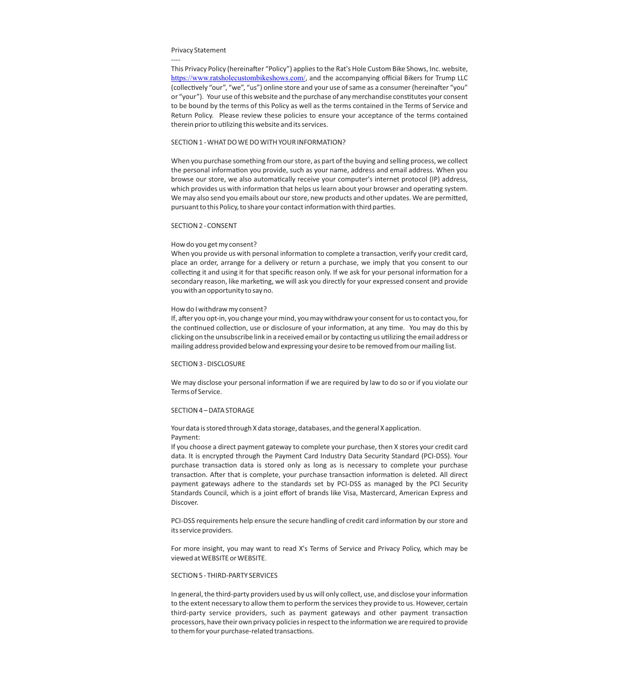### Privacy Statement

----

This Privacy Policy (hereinafter "Policy") applies to the Rat's Hole Custom Bike Shows, Inc. website, <https://www.ratsholecustombikeshows.com/>, and the accompanying official Bikers for Trump LLC (collectively "our", "we", "us") online store and your use of same as a consumer (hereinafter "you" or "your"). Your use of this website and the purchase of any merchandise constutes your consent to be bound by the terms of this Policy as well as the terms contained in the Terms of Service and Return Policy. Please review these policies to ensure your acceptance of the terms contained therein prior to utilizing this website and its services.

## SECTION 1 - WHAT DO WE DO WITH YOUR INFORMATION?

When you purchase something from our store, as part of the buying and selling process, we collect the personal information you provide, such as your name, address and email address. When you browse our store, we also automatically receive your computer's internet protocol (IP) address, which provides us with information that helps us learn about your browser and operating system. We may also send you emails about our store, new products and other updates. We are permitted, pursuant to this Policy, to share your contact information with third parties.

### SECTION 2 - CONSENT

### How do you get my consent?

When you provide us with personal information to complete a transaction, verify your credit card, place an order, arrange for a delivery or return a purchase, we imply that you consent to our collecting it and using it for that specific reason only. If we ask for your personal information for a secondary reason, like marketing, we will ask you directly for your expressed consent and provide you with an opportunity to say no.

### How do I withdraw my consent?

If, after you opt-in, you change your mind, you may withdraw your consent for us to contact you, for the continued collection, use or disclosure of your information, at any time. You may do this by clicking on the unsubscribe link in a received email or by contacting us utilizing the email address or mailing address provided below and expressing your desire to be removed from our mailing list.

#### SECTION 3 - DISCLOSURE

We may disclose your personal information if we are required by law to do so or if you violate our Terms of Service.

## SECTION 4 – DATA STORAGE

# Your data is stored through X data storage, databases, and the general X application. Payment:

If you choose a direct payment gateway to complete your purchase, then X stores your credit card data. It is encrypted through the Payment Card Industry Data Security Standard (PCI-DSS). Your purchase transaction data is stored only as long as is necessary to complete your purchase transaction. After that is complete, your purchase transaction information is deleted. All direct payment gateways adhere to the standards set by PCI-DSS as managed by the PCI Security Standards Council, which is a joint effort of brands like Visa, Mastercard, American Express and Discover.

PCI-DSS requirements help ensure the secure handling of credit card information by our store and its service providers.

For more insight, you may want to read X's Terms of Service and Privacy Policy, which may be viewed at WEBSITE or WEBSITE.

## SECTION 5 - THIRD-PARTY SERVICES

In general, the third-party providers used by us will only collect, use, and disclose your information to the extent necessary to allow them to perform the services they provide to us. However, certain third-party service providers, such as payment gateways and other payment transaction processors, have their own privacy policies in respect to the information we are required to provide to them for your purchase-related transactions.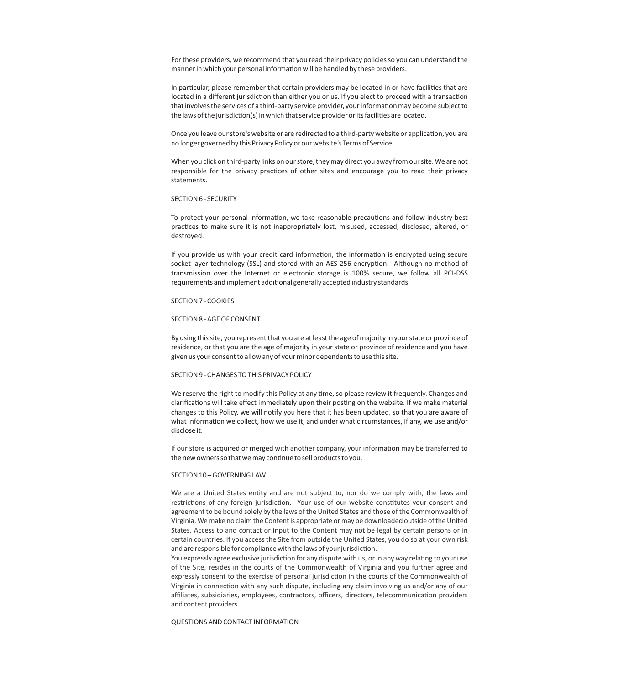For these providers, we recommend that you read their privacy policies so you can understand the manner in which your personal information will be handled by these providers.

In particular, please remember that certain providers may be located in or have facilities that are located in a different jurisdiction than either you or us. If you elect to proceed with a transaction that involves the services of a third-party service provider, your information may become subject to the laws of the jurisdiction(s) in which that service provider or its facilities are located.

Once you leave our store's website or are redirected to a third-party website or application, you are no longer governed by this Privacy Policy or our website's Terms of Service.

When you click on third-party links on our store, they may direct you away from our site. We are not responsible for the privacy practices of other sites and encourage you to read their privacy statements.

### SECTION 6 - SECURITY

To protect your personal information, we take reasonable precautions and follow industry best practices to make sure it is not inappropriately lost, misused, accessed, disclosed, altered, or destroyed.

If you provide us with your credit card information, the information is encrypted using secure socket layer technology (SSL) and stored with an AES-256 encryption. Although no method of transmission over the Internet or electronic storage is 100% secure, we follow all PCI-DSS requirements and implement additional generally accepted industry standards.

## SECTION 7 - COOKIES

## SECTION 8 - AGE OF CONSENT

By using this site, you represent that you are at least the age of majority in your state or province of residence, or that you are the age of majority in your state or province of residence and you have given us your consent to allow any of your minor dependents to use this site.

### SECTION 9 - CHANGES TO THIS PRIVACY POLICY

We reserve the right to modify this Policy at any time, so please review it frequently. Changes and clarifications will take effect immediately upon their posting on the website. If we make material changes to this Policy, we will notify you here that it has been updated, so that you are aware of what information we collect, how we use it, and under what circumstances, if any, we use and/or disclose it.

If our store is acquired or merged with another company, your information may be transferred to the new owners so that we may continue to sell products to you.

#### SECTION 10-GOVERNING LAW

We are a United States entity and are not subject to, nor do we comply with, the laws and restrictions of any foreign jurisdiction. Your use of our website constitutes your consent and agreement to be bound solely by the laws of the United States and those of the Commonwealth of Virginia. We make no claim the Content is appropriate or may be downloaded outside of the United States. Access to and contact or input to the Content may not be legal by certain persons or in certain countries. If you access the Site from outside the United States, you do so at your own risk and are responsible for compliance with the laws of your jurisdiction.

You expressly agree exclusive jurisdiction for any dispute with us, or in any way relating to your use of the Site, resides in the courts of the Commonwealth of Virginia and you further agree and expressly consent to the exercise of personal jurisdiction in the courts of the Commonwealth of Virginia in connection with any such dispute, including any claim involving us and/or any of our affiliates, subsidiaries, employees, contractors, officers, directors, telecommunication providers and content providers.

## QUESTIONS AND CONTACT INFORMATION